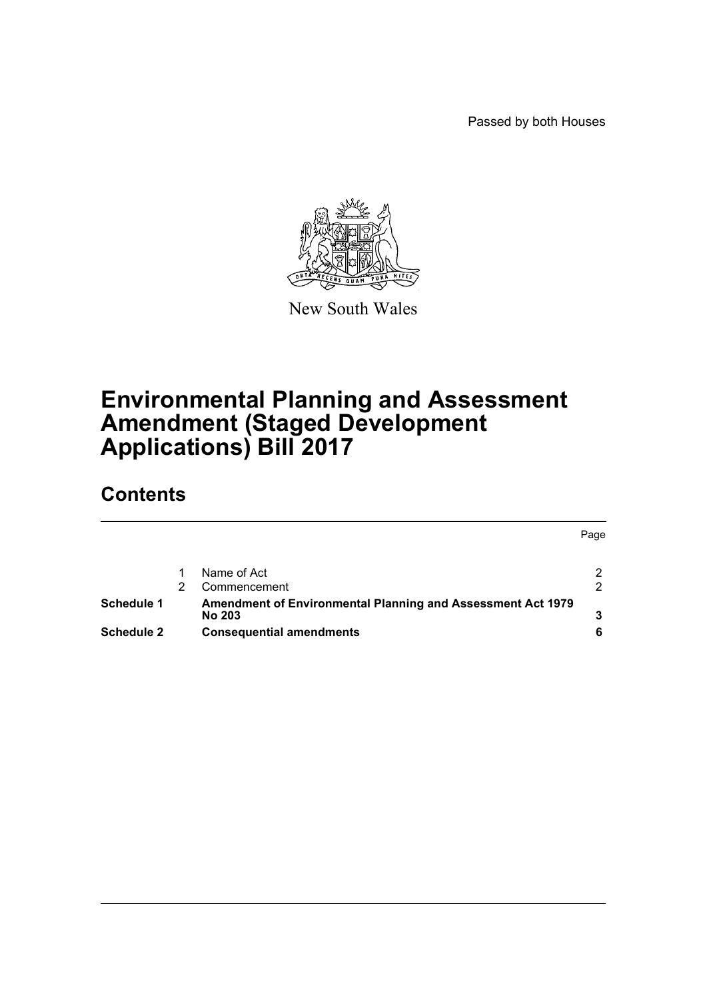Passed by both Houses



New South Wales

# **Environmental Planning and Assessment Amendment (Staged Development Applications) Bill 2017**

# **Contents**

|                   |                                                                       | Page          |
|-------------------|-----------------------------------------------------------------------|---------------|
|                   | Name of Act                                                           | 2             |
|                   | Commencement                                                          | $\mathcal{P}$ |
| <b>Schedule 1</b> | Amendment of Environmental Planning and Assessment Act 1979<br>No 203 |               |
| <b>Schedule 2</b> | <b>Consequential amendments</b>                                       |               |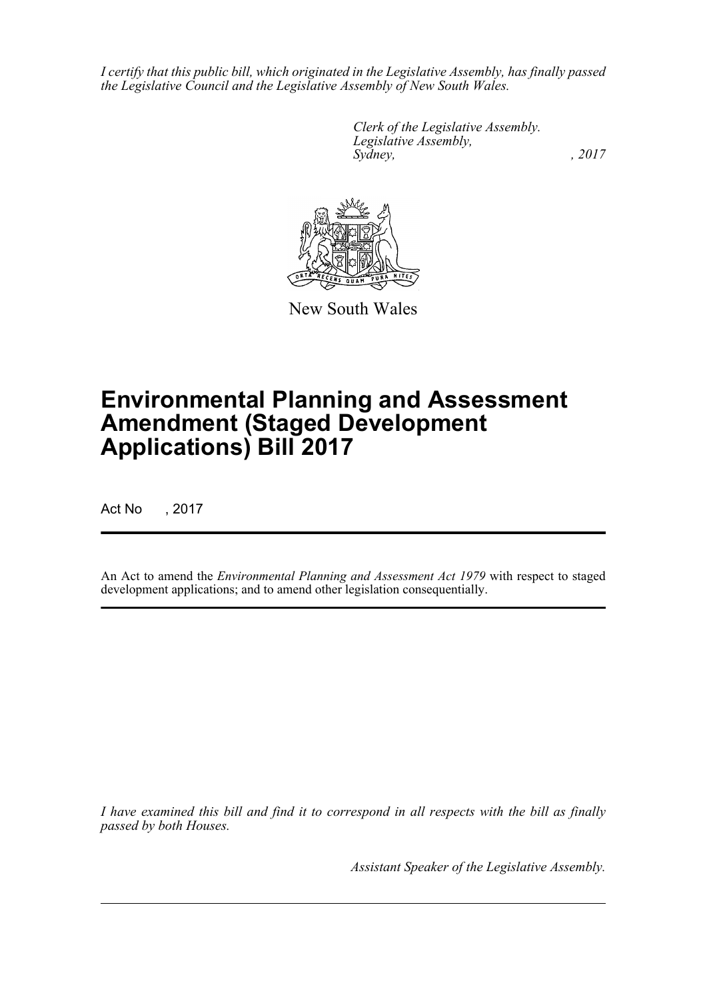*I certify that this public bill, which originated in the Legislative Assembly, has finally passed the Legislative Council and the Legislative Assembly of New South Wales.*

> *Clerk of the Legislative Assembly. Legislative Assembly, Sydney,* , 2017



New South Wales

# **Environmental Planning and Assessment Amendment (Staged Development Applications) Bill 2017**

Act No , 2017

An Act to amend the *Environmental Planning and Assessment Act 1979* with respect to staged development applications; and to amend other legislation consequentially.

*I have examined this bill and find it to correspond in all respects with the bill as finally passed by both Houses.*

*Assistant Speaker of the Legislative Assembly.*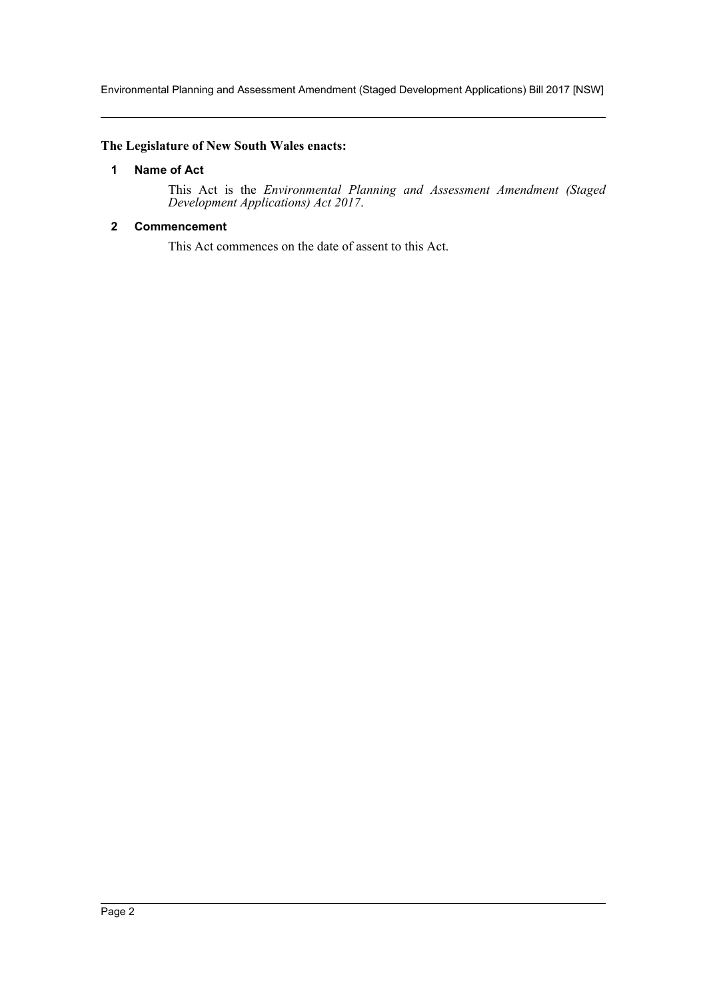Environmental Planning and Assessment Amendment (Staged Development Applications) Bill 2017 [NSW]

#### <span id="page-2-0"></span>**The Legislature of New South Wales enacts:**

#### **1 Name of Act**

This Act is the *Environmental Planning and Assessment Amendment (Staged Development Applications) Act 2017*.

#### <span id="page-2-1"></span>**2 Commencement**

This Act commences on the date of assent to this Act.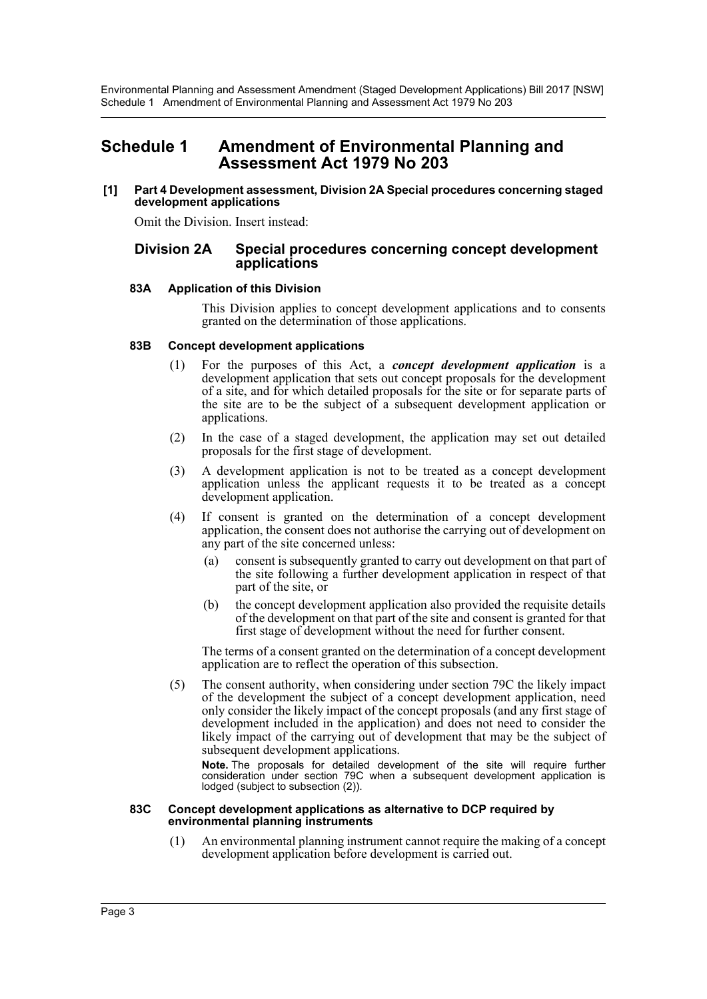Environmental Planning and Assessment Amendment (Staged Development Applications) Bill 2017 [NSW] Schedule 1 Amendment of Environmental Planning and Assessment Act 1979 No 203

# <span id="page-3-0"></span>**Schedule 1 Amendment of Environmental Planning and Assessment Act 1979 No 203**

#### **[1] Part 4 Development assessment, Division 2A Special procedures concerning staged development applications**

Omit the Division. Insert instead:

#### **Division 2A Special procedures concerning concept development applications**

#### **83A Application of this Division**

This Division applies to concept development applications and to consents granted on the determination of those applications.

#### **83B Concept development applications**

- (1) For the purposes of this Act, a *concept development application* is a development application that sets out concept proposals for the development of a site, and for which detailed proposals for the site or for separate parts of the site are to be the subject of a subsequent development application or applications.
- (2) In the case of a staged development, the application may set out detailed proposals for the first stage of development.
- (3) A development application is not to be treated as a concept development application unless the applicant requests it to be treated as a concept development application.
- (4) If consent is granted on the determination of a concept development application, the consent does not authorise the carrying out of development on any part of the site concerned unless:
	- (a) consent is subsequently granted to carry out development on that part of the site following a further development application in respect of that part of the site, or
	- (b) the concept development application also provided the requisite details of the development on that part of the site and consent is granted for that first stage of development without the need for further consent.

The terms of a consent granted on the determination of a concept development application are to reflect the operation of this subsection.

(5) The consent authority, when considering under section 79C the likely impact of the development the subject of a concept development application, need only consider the likely impact of the concept proposals (and any first stage of development included in the application) and does not need to consider the likely impact of the carrying out of development that may be the subject of subsequent development applications.

**Note.** The proposals for detailed development of the site will require further consideration under section 79C when a subsequent development application is lodged (subject to subsection (2)).

#### **83C Concept development applications as alternative to DCP required by environmental planning instruments**

(1) An environmental planning instrument cannot require the making of a concept development application before development is carried out.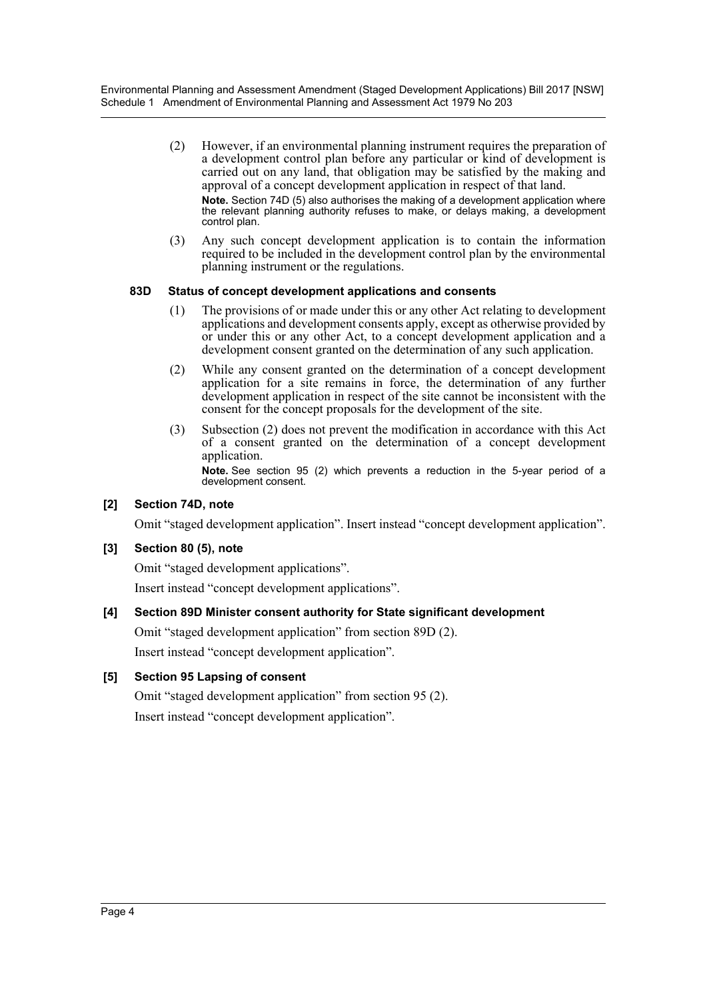Environmental Planning and Assessment Amendment (Staged Development Applications) Bill 2017 [NSW] Schedule 1 Amendment of Environmental Planning and Assessment Act 1979 No 203

- (2) However, if an environmental planning instrument requires the preparation of a development control plan before any particular or kind of development is carried out on any land, that obligation may be satisfied by the making and approval of a concept development application in respect of that land. **Note.** Section 74D (5) also authorises the making of a development application where the relevant planning authority refuses to make, or delays making, a development control plan.
- (3) Any such concept development application is to contain the information required to be included in the development control plan by the environmental planning instrument or the regulations.

#### **83D Status of concept development applications and consents**

- (1) The provisions of or made under this or any other Act relating to development applications and development consents apply, except as otherwise provided by or under this or any other Act, to a concept development application and a development consent granted on the determination of any such application.
- (2) While any consent granted on the determination of a concept development application for a site remains in force, the determination of any further development application in respect of the site cannot be inconsistent with the consent for the concept proposals for the development of the site.
- (3) Subsection (2) does not prevent the modification in accordance with this Act of a consent granted on the determination of a concept development application. **Note.** See section 95 (2) which prevents a reduction in the 5-year period of a development consent.

#### **[2] Section 74D, note**

Omit "staged development application". Insert instead "concept development application".

#### **[3] Section 80 (5), note**

Omit "staged development applications".

Insert instead "concept development applications".

#### **[4] Section 89D Minister consent authority for State significant development**

Omit "staged development application" from section 89D (2).

Insert instead "concept development application".

#### **[5] Section 95 Lapsing of consent**

Omit "staged development application" from section 95 (2). Insert instead "concept development application".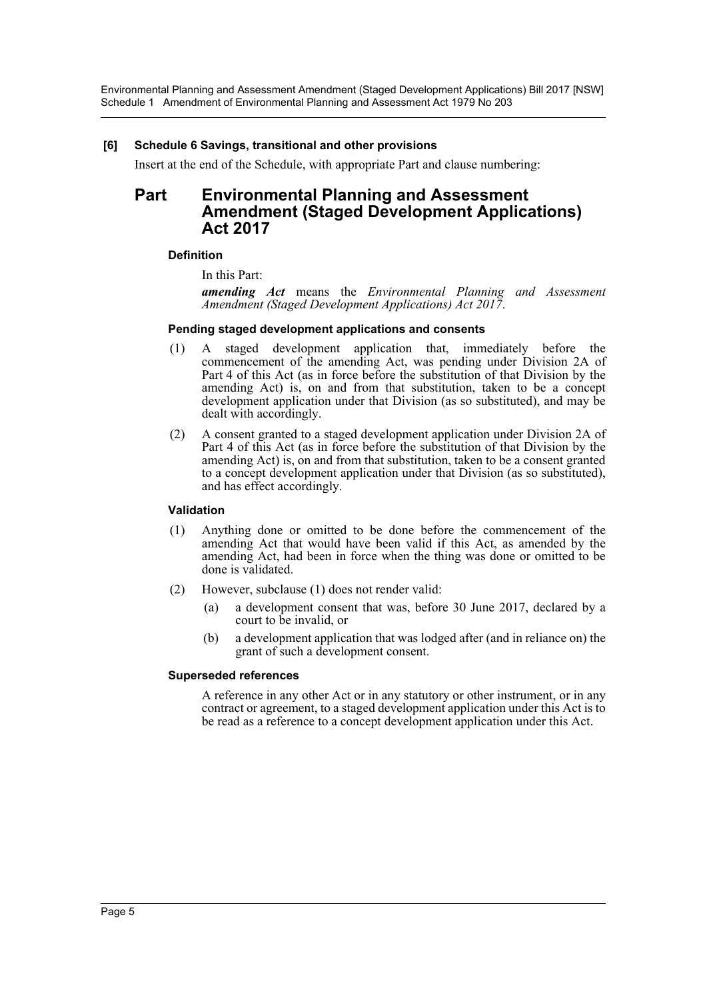Environmental Planning and Assessment Amendment (Staged Development Applications) Bill 2017 [NSW] Schedule 1 Amendment of Environmental Planning and Assessment Act 1979 No 203

#### **[6] Schedule 6 Savings, transitional and other provisions**

Insert at the end of the Schedule, with appropriate Part and clause numbering:

### **Part Environmental Planning and Assessment Amendment (Staged Development Applications) Act 2017**

#### **Definition**

In this Part:

*amending Act* means the *Environmental Planning and Assessment Amendment (Staged Development Applications) Act 2017*.

#### **Pending staged development applications and consents**

- (1) A staged development application that, immediately before the commencement of the amending Act, was pending under Division 2A of Part 4 of this Act (as in force before the substitution of that Division by the amending Act) is, on and from that substitution, taken to be a concept development application under that Division (as so substituted), and may be dealt with accordingly.
- (2) A consent granted to a staged development application under Division 2A of Part 4 of this Act (as in force before the substitution of that Division by the amending Act) is, on and from that substitution, taken to be a consent granted to a concept development application under that Division (as so substituted), and has effect accordingly.

#### **Validation**

- (1) Anything done or omitted to be done before the commencement of the amending Act that would have been valid if this Act, as amended by the amending Act, had been in force when the thing was done or omitted to be done is validated.
- (2) However, subclause (1) does not render valid:
	- (a) a development consent that was, before 30 June 2017, declared by a court to be invalid, or
	- (b) a development application that was lodged after (and in reliance on) the grant of such a development consent.

#### **Superseded references**

A reference in any other Act or in any statutory or other instrument, or in any contract or agreement, to a staged development application under this Act is to be read as a reference to a concept development application under this Act.